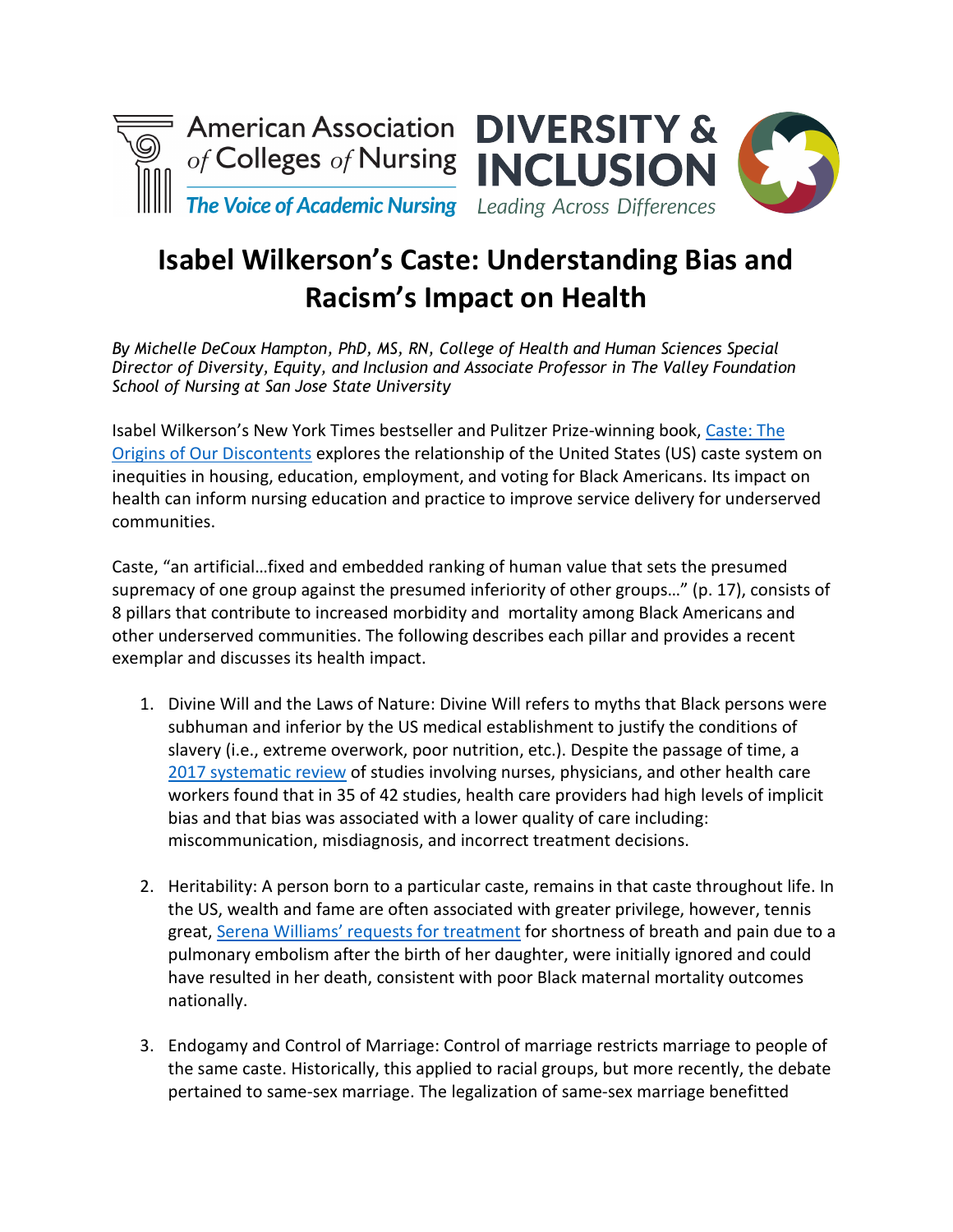



## **Isabel Wilkerson's Caste: Understanding Bias and Racism's Impact on Health**

*By Michelle DeCoux Hampton, PhD, MS, RN, College of Health and Human Sciences Special Director of Diversity, Equity, and Inclusion and Associate Professor in The Valley Foundation School of Nursing at San Jose State University*

Isabel Wilkerson's New York Times bestseller and Pulitzer Prize-winning book, [Caste: The](https://www.isabelwilkerson.com/)  [Origins of Our Discontents](https://www.isabelwilkerson.com/) explores the relationship of the United States (US) caste system on inequities in housing, education, employment, and voting for Black Americans. Its impact on health can inform nursing education and practice to improve service delivery for underserved communities.

Caste, "an artificial…fixed and embedded ranking of human value that sets the presumed supremacy of one group against the presumed inferiority of other groups…" (p. 17), consists of 8 pillars that contribute to increased morbidity and mortality among Black Americans and other underserved communities. The following describes each pillar and provides a recent exemplar and discusses its health impact.

- 1. Divine Will and the Laws of Nature: Divine Will refers to myths that Black persons were subhuman and inferior by the US medical establishment to justify the conditions of slavery (i.e., extreme overwork, poor nutrition, etc.). Despite the passage of time, a [2017 systematic review](https://bmcmedethics.biomedcentral.com/articles/10.1186/s12910-017-0179-8) of studies involving nurses, physicians, and other health care workers found that in 35 of 42 studies, health care providers had high levels of implicit bias and that bias was associated with a lower quality of care including: miscommunication, misdiagnosis, and incorrect treatment decisions.
- 2. Heritability: A person born to a particular caste, remains in that caste throughout life. In the US, wealth and fame are often associated with greater privilege, however, tennis great, [Serena Williams' requests for treatment](https://www.nytimes.com/2018/01/11/sports/tennis/serena-williams-baby-vogue.html) for shortness of breath and pain due to a pulmonary embolism after the birth of her daughter, were initially ignored and could have resulted in her death, consistent with poor Black maternal mortality outcomes nationally.
- 3. Endogamy and Control of Marriage: Control of marriage restricts marriage to people of the same caste. Historically, this applied to racial groups, but more recently, the debate pertained to same-sex marriage. The legalization of same-sex marriage benefitted